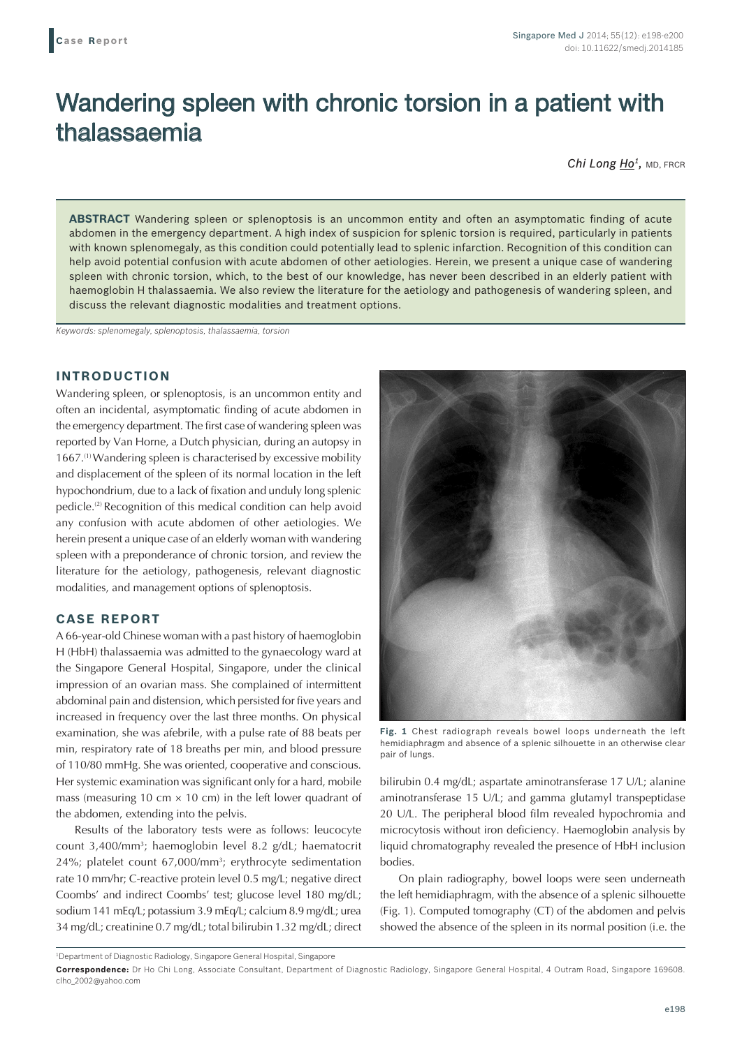# Wandering spleen with chronic torsion in a patient with thalassaemia

*Chi Long Ho1,* MD, FRCR

**ABSTRACT** Wandering spleen or splenoptosis is an uncommon entity and often an asymptomatic finding of acute abdomen in the emergency department. A high index of suspicion for splenic torsion is required, particularly in patients with known splenomegaly, as this condition could potentially lead to splenic infarction. Recognition of this condition can help avoid potential confusion with acute abdomen of other aetiologies. Herein, we present a unique case of wandering spleen with chronic torsion, which, to the best of our knowledge, has never been described in an elderly patient with haemoglobin H thalassaemia. We also review the literature for the aetiology and pathogenesis of wandering spleen, and discuss the relevant diagnostic modalities and treatment options.

*Keywords: splenomegaly, splenoptosis, thalassaemia, torsion*

## **INTRODUCTION**

Wandering spleen, or splenoptosis, is an uncommon entity and often an incidental, asymptomatic finding of acute abdomen in the emergency department. The first case of wandering spleen was reported by Van Horne, a Dutch physician, during an autopsy in 1667.(1) Wandering spleen is characterised by excessive mobility and displacement of the spleen of its normal location in the left hypochondrium, due to a lack of fixation and unduly long splenic pedicle.(2) Recognition of this medical condition can help avoid any confusion with acute abdomen of other aetiologies. We herein present a unique case of an elderly woman with wandering spleen with a preponderance of chronic torsion, and review the literature for the aetiology, pathogenesis, relevant diagnostic modalities, and management options of splenoptosis.

# **CASE REPORT**

A 66-year-old Chinese woman with a past history of haemoglobin H (HbH) thalassaemia was admitted to the gynaecology ward at the Singapore General Hospital, Singapore, under the clinical impression of an ovarian mass. She complained of intermittent abdominal pain and distension, which persisted for five years and increased in frequency over the last three months. On physical examination, she was afebrile, with a pulse rate of 88 beats per min, respiratory rate of 18 breaths per min, and blood pressure of 110/80 mmHg. She was oriented, cooperative and conscious. Her systemic examination was significant only for a hard, mobile mass (measuring 10 cm  $\times$  10 cm) in the left lower quadrant of the abdomen, extending into the pelvis.

Results of the laboratory tests were as follows: leucocyte count 3,400/mm3; haemoglobin level 8.2 g/dL; haematocrit 24%; platelet count 67,000/mm<sup>3</sup>; erythrocyte sedimentation rate 10 mm/hr; C-reactive protein level 0.5 mg/L; negative direct Coombs' and indirect Coombs' test; glucose level 180 mg/dL; sodium 141 mEq/L; potassium 3.9 mEq/L; calcium 8.9 mg/dL; urea 34 mg/dL; creatinine 0.7 mg/dL; total bilirubin 1.32 mg/dL; direct



**Fig. 1** Chest radiograph reveals bowel loops underneath the left hemidiaphragm and absence of a splenic silhouette in an otherwise clear pair of lungs.

bilirubin 0.4 mg/dL; aspartate aminotransferase 17 U/L; alanine aminotransferase 15 U/L; and gamma glutamyl transpeptidase 20 U/L. The peripheral blood film revealed hypochromia and microcytosis without iron deficiency. Haemoglobin analysis by liquid chromatography revealed the presence of HbH inclusion bodies.

On plain radiography, bowel loops were seen underneath the left hemidiaphragm, with the absence of a splenic silhouette (Fig. 1). Computed tomography (CT) of the abdomen and pelvis showed the absence of the spleen in its normal position (i.e. the

1 Department of Diagnostic Radiology, Singapore General Hospital, Singapore

**Correspondence:** Dr Ho Chi Long, Associate Consultant, Department of Diagnostic Radiology, Singapore General Hospital, 4 Outram Road, Singapore 169608. clho\_2002@yahoo.com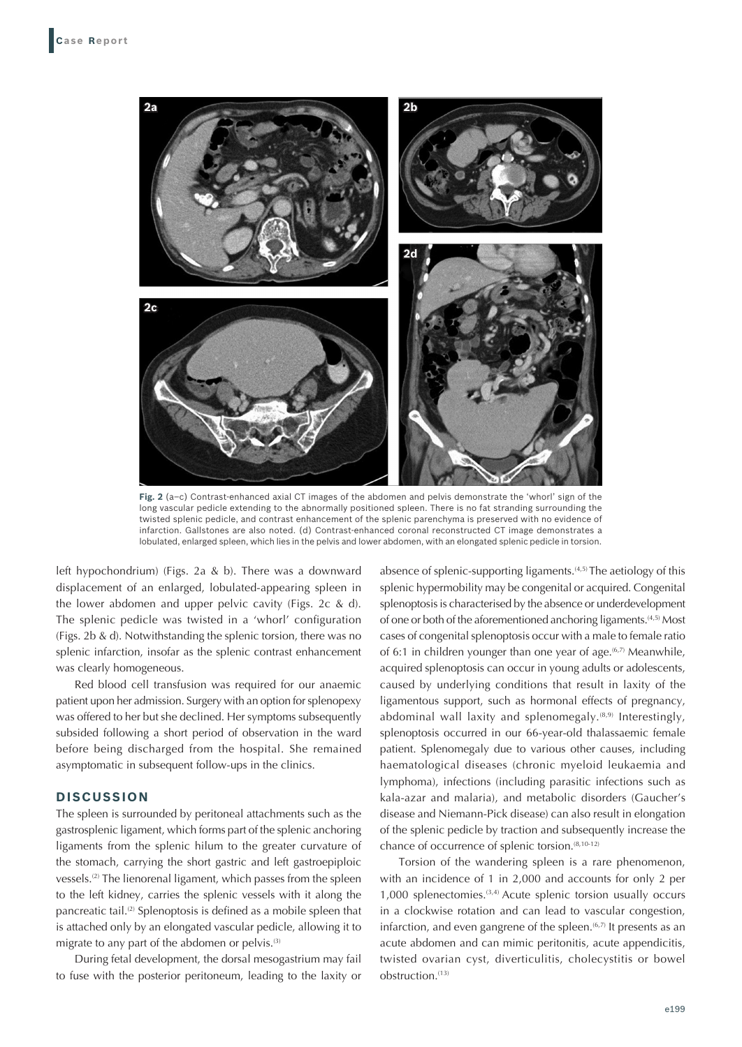

**Fig. 2** (a–c) Contrast-enhanced axial CT images of the abdomen and pelvis demonstrate the 'whorl' sign of the long vascular pedicle extending to the abnormally positioned spleen. There is no fat stranding surrounding the twisted splenic pedicle, and contrast enhancement of the splenic parenchyma is preserved with no evidence of infarction. Gallstones are also noted. (d) Contrast-enhanced coronal reconstructed CT image demonstrates a lobulated, enlarged spleen, which lies in the pelvis and lower abdomen, with an elongated splenic pedicle in torsion.

left hypochondrium) (Figs. 2a & b). There was a downward displacement of an enlarged, lobulated-appearing spleen in the lower abdomen and upper pelvic cavity (Figs. 2c & d). The splenic pedicle was twisted in a 'whorl' configuration (Figs. 2b & d). Notwithstanding the splenic torsion, there was no splenic infarction, insofar as the splenic contrast enhancement was clearly homogeneous.

Red blood cell transfusion was required for our anaemic patient upon her admission. Surgery with an option for splenopexy was offered to her but she declined. Her symptoms subsequently subsided following a short period of observation in the ward before being discharged from the hospital. She remained asymptomatic in subsequent follow-ups in the clinics.

### **DISCUSSION**

The spleen is surrounded by peritoneal attachments such as the gastrosplenic ligament, which forms part of the splenic anchoring ligaments from the splenic hilum to the greater curvature of the stomach, carrying the short gastric and left gastroepiploic vessels.<sup>(2)</sup> The lienorenal ligament, which passes from the spleen to the left kidney, carries the splenic vessels with it along the pancreatic tail.<sup>(2)</sup> Splenoptosis is defined as a mobile spleen that is attached only by an elongated vascular pedicle, allowing it to migrate to any part of the abdomen or pelvis.(3)

During fetal development, the dorsal mesogastrium may fail to fuse with the posterior peritoneum, leading to the laxity or absence of splenic-supporting ligaments.<sup>(4,5)</sup> The aetiology of this splenic hypermobility may be congenital or acquired. Congenital splenoptosis is characterised by the absence or underdevelopment of one or both of the aforementioned anchoring ligaments.(4,5) Most cases of congenital splenoptosis occur with a male to female ratio of 6:1 in children younger than one year of age.  $(6,7)$  Meanwhile, acquired splenoptosis can occur in young adults or adolescents, caused by underlying conditions that result in laxity of the ligamentous support, such as hormonal effects of pregnancy, abdominal wall laxity and splenomegaly.<sup>(8,9)</sup> Interestingly, splenoptosis occurred in our 66-year-old thalassaemic female patient. Splenomegaly due to various other causes, including haematological diseases (chronic myeloid leukaemia and lymphoma), infections (including parasitic infections such as kala‑azar and malaria), and metabolic disorders (Gaucher's disease and Niemann-Pick disease) can also result in elongation of the splenic pedicle by traction and subsequently increase the chance of occurrence of splenic torsion.<sup>(8,10-12)</sup>

Torsion of the wandering spleen is a rare phenomenon, with an incidence of 1 in 2,000 and accounts for only 2 per 1,000 splenectomies.(3,4) Acute splenic torsion usually occurs in a clockwise rotation and can lead to vascular congestion, infarction, and even gangrene of the spleen. $(6,7)$  It presents as an acute abdomen and can mimic peritonitis, acute appendicitis, twisted ovarian cyst, diverticulitis, cholecystitis or bowel obstruction.(13)